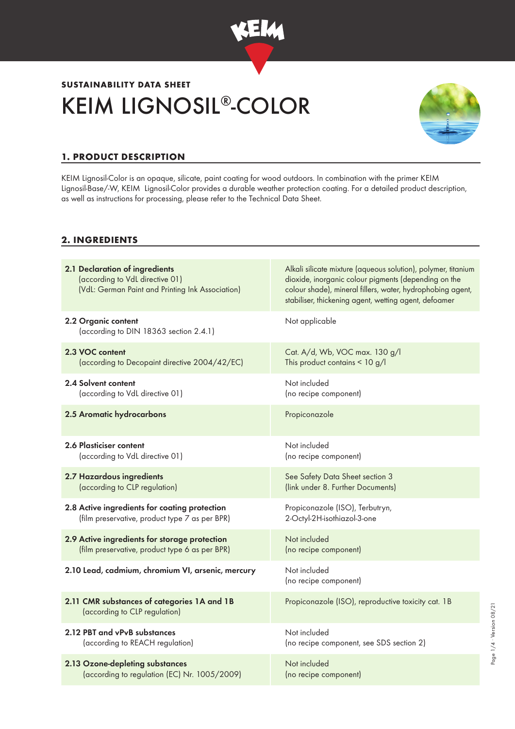

# KEIM LIGNOSIL®-COLOR **SUSTAINABILITY DATA SHEET**



# **1. PRODUCT DESCRIPTION**

KEIM Lignosil-Color is an opaque, silicate, paint coating for wood outdoors. In combination with the primer KEIM Lignosil-Base/-W, KEIM Lignosil-Color provides a durable weather protection coating. For a detailed product description, as well as instructions for processing, please refer to the Technical Data Sheet.

#### **2. INGREDIENTS**

| 2.1 Declaration of ingredients<br>(according to VdL directive 01)<br>(VdL: German Paint and Printing Ink Association) | Alkali silicate mixture (aqueous solution), polymer, titanium<br>dioxide, inorganic colour pigments (depending on the<br>colour shade), mineral fillers, water, hydrophobing agent,<br>stabiliser, thickening agent, wetting agent, defoamer |
|-----------------------------------------------------------------------------------------------------------------------|----------------------------------------------------------------------------------------------------------------------------------------------------------------------------------------------------------------------------------------------|
| 2.2 Organic content<br>(according to DIN 18363 section 2.4.1)                                                         | Not applicable                                                                                                                                                                                                                               |
| 2.3 VOC content                                                                                                       | Cat. A/d, Wb, VOC max. 130 g/l                                                                                                                                                                                                               |
| (according to Decopaint directive 2004/42/EC)                                                                         | This product contains $< 10$ g/l                                                                                                                                                                                                             |
| 2.4 Solvent content                                                                                                   | Not included                                                                                                                                                                                                                                 |
| (according to VdL directive 01)                                                                                       | (no recipe component)                                                                                                                                                                                                                        |
| 2.5 Aromatic hydrocarbons                                                                                             | Propiconazole                                                                                                                                                                                                                                |
| 2.6 Plasticiser content                                                                                               | Not included                                                                                                                                                                                                                                 |
| (according to VdL directive 01)                                                                                       | (no recipe component)                                                                                                                                                                                                                        |
| 2.7 Hazardous ingredients                                                                                             | See Safety Data Sheet section 3                                                                                                                                                                                                              |
| (according to CLP regulation)                                                                                         | (link under 8. Further Documents)                                                                                                                                                                                                            |
| 2.8 Active ingredients for coating protection                                                                         | Propiconazole (ISO), Terbutryn,                                                                                                                                                                                                              |
| (film preservative, product type 7 as per BPR)                                                                        | 2-Octyl-2H-isothiazol-3-one                                                                                                                                                                                                                  |
| 2.9 Active ingredients for storage protection                                                                         | Not included                                                                                                                                                                                                                                 |
| (film preservative, product type 6 as per BPR)                                                                        | (no recipe component)                                                                                                                                                                                                                        |
| 2.10 Lead, cadmium, chromium VI, arsenic, mercury                                                                     | Not included<br>(no recipe component)                                                                                                                                                                                                        |
| 2.11 CMR substances of categories 1A and 1B<br>(according to CLP regulation)                                          | Propiconazole (ISO), reproductive toxicity cat. 1B                                                                                                                                                                                           |
| 2.12 PBT and vPvB substances                                                                                          | Not included                                                                                                                                                                                                                                 |
| (according to REACH regulation)                                                                                       | (no recipe component, see SDS section 2)                                                                                                                                                                                                     |
| 2.13 Ozone-depleting substances                                                                                       | Not included                                                                                                                                                                                                                                 |
| (according to regulation (EC) Nr. 1005/2009)                                                                          | (no recipe component)                                                                                                                                                                                                                        |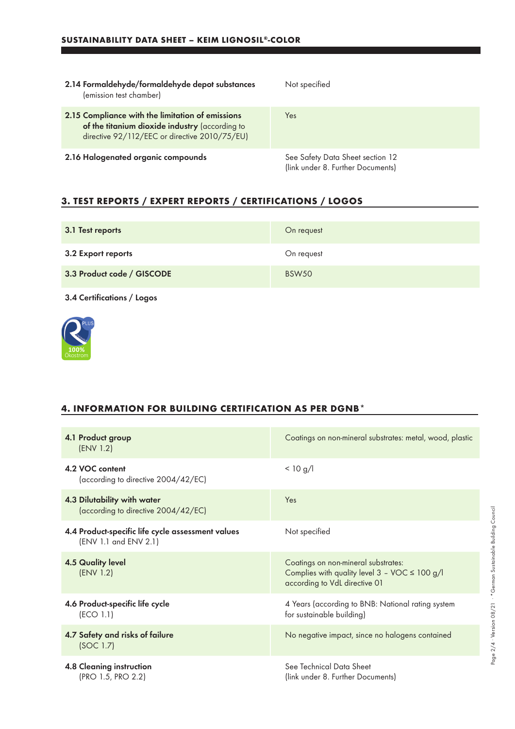| 2.14 Formaldehyde/formaldehyde depot substances<br>(emission test chamber)                                                                          | Not specified                                                         |
|-----------------------------------------------------------------------------------------------------------------------------------------------------|-----------------------------------------------------------------------|
| 2.15 Compliance with the limitation of emissions<br>of the titanium dioxide industry (according to<br>directive 92/112/EEC or directive 2010/75/EU) | Yes                                                                   |
| 2.16 Halogenated organic compounds                                                                                                                  | See Safety Data Sheet section 12<br>(link under 8. Further Documents) |

## **3. TEST REPORTS / EXPERT REPORTS / CERTIFICATIONS / LOGOS**

| 3.1 Test reports           | On request   |
|----------------------------|--------------|
| 3.2 Export reports         | On request   |
| 3.3 Product code / GISCODE | <b>BSW50</b> |

3.4 Certifications / Logos



## **4. INFORMATION FOR BUILDING CERTIFICATION AS PER DGNB\***

| 4.1 Product group<br>(ENV 1.2)                                             | Coatings on non-mineral substrates: metal, wood, plastic                                                                                  |
|----------------------------------------------------------------------------|-------------------------------------------------------------------------------------------------------------------------------------------|
| 4.2 VOC content<br>(according to directive 2004/42/EC)                     | < 10 g/l                                                                                                                                  |
| 4.3 Dilutability with water<br>(according to directive 2004/42/EC)         | Yes                                                                                                                                       |
| 4.4 Product-specific life cycle assessment values<br>(ENV 1.1 and ENV 2.1) | Not specified                                                                                                                             |
| <b>4.5 Quality level</b><br>(ENV 1.2)                                      | Coatings on non-mineral substrates:<br>Complies with quality level $3 - \text{VOC} \leq 100 \text{ g/l}$<br>according to VdL directive 01 |
| 4.6 Product-specific life cycle<br>(ECO 1.1)                               | 4 Years (according to BNB: National rating system<br>for sustainable building)                                                            |
| 4.7 Safety and risks of failure<br>(SOC 1.7)                               | No negative impact, since no halogens contained                                                                                           |
| <b>4.8 Cleaning instruction</b><br>(PRO 1.5, PRO 2.2)                      | See Technical Data Sheet<br>(link under 8. Further Documents)                                                                             |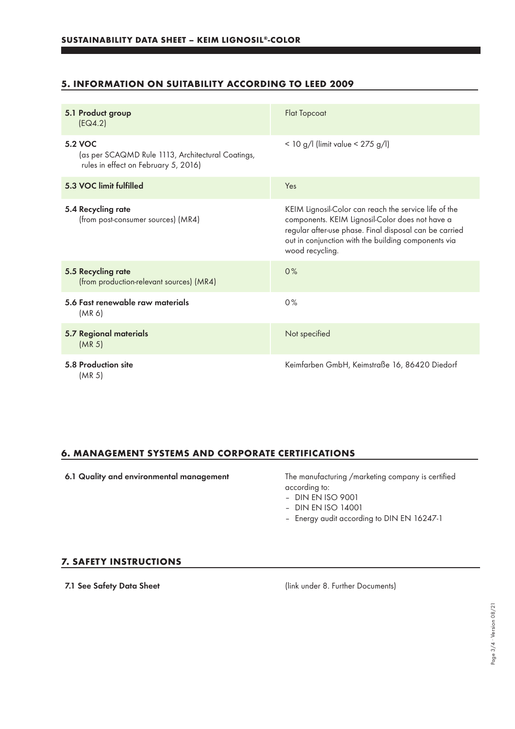## **5. INFORMATION ON SUITABILITY ACCORDING TO LEED 2009**

| 5.1 Product group<br>[EQ4.2]                                                                                | <b>Flat Topcoat</b>                                                                                                                                                                                                                          |
|-------------------------------------------------------------------------------------------------------------|----------------------------------------------------------------------------------------------------------------------------------------------------------------------------------------------------------------------------------------------|
| <b>5.2 VOC</b><br>(as per SCAQMD Rule 1113, Architectural Coatings,<br>rules in effect on February 5, 2016) | < 10 g/l (limit value < $275$ g/l)                                                                                                                                                                                                           |
| 5.3 VOC limit fulfilled                                                                                     | Yes                                                                                                                                                                                                                                          |
| 5.4 Recycling rate<br>(from post-consumer sources) (MR4)                                                    | KEIM Lignosil-Color can reach the service life of the<br>components. KEIM Lignosil-Color does not have a<br>regular after-use phase. Final disposal can be carried<br>out in conjunction with the building components via<br>wood recycling. |
| 5.5 Recycling rate<br>(from production-relevant sources) (MR4)                                              | 0%                                                                                                                                                                                                                                           |
| 5.6 Fast renewable raw materials<br>(MR 6)                                                                  | 0%                                                                                                                                                                                                                                           |
| 5.7 Regional materials<br>(MR <sub>5</sub> )                                                                | Not specified                                                                                                                                                                                                                                |
| 5.8 Production site<br>(MR <sub>5</sub> )                                                                   | Keimfarben GmbH, Keimstraße 16, 86420 Diedorf                                                                                                                                                                                                |

## **6. MANAGEMENT SYSTEMS AND CORPORATE CERTIFICATIONS**

6.1 Quality and environmental management The manufacturing /marketing company is certified according to:

– DIN EN ISO 9001

- DIN EN ISO 14001
- Energy audit according to DIN EN 16247-1

#### **7. SAFETY INSTRUCTIONS**

7.1 See Safety Data Sheet (link under 8. Further Documents)